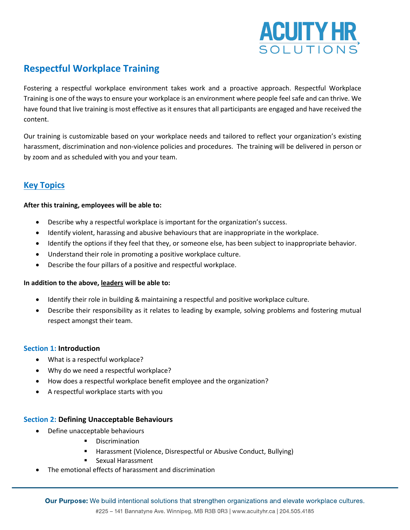

# **Respectful Workplace Training**

Fostering a respectful workplace environment takes work and a proactive approach. Respectful Workplace Training is one of the ways to ensure your workplace is an environment where people feel safe and can thrive. We have found that live training is most effective as it ensures that all participants are engaged and have received the content.

Our training is customizable based on your workplace needs and tailored to reflect your organization's existing harassment, discrimination and non-violence policies and procedures. The training will be delivered in person or by zoom and as scheduled with you and your team.

# **Key Topics**

## **After this training, employees will be able to:**

- Describe why a respectful workplace is important for the organization's success.
- Identify violent, harassing and abusive behaviours that are inappropriate in the workplace.
- Identify the options if they feel that they, or someone else, has been subject to inappropriate behavior.
- Understand their role in promoting a positive workplace culture.
- Describe the four pillars of a positive and respectful workplace.

## **In addition to the above, leaders will be able to:**

- Identify their role in building & maintaining a respectful and positive workplace culture.
- Describe their responsibility as it relates to leading by example, solving problems and fostering mutual respect amongst their team.

## **Section 1: Introduction**

- What is a respectful workplace?
- Why do we need a respectful workplace?
- How does a respectful workplace benefit employee and the organization?
- A respectful workplace starts with you

## **Section 2: Defining Unacceptable Behaviours**

- Define unacceptable behaviours
	- Discrimination
	- Harassment (Violence, Disrespectful or Abusive Conduct, Bullying)
	- Sexual Harassment
- The emotional effects of harassment and discrimination